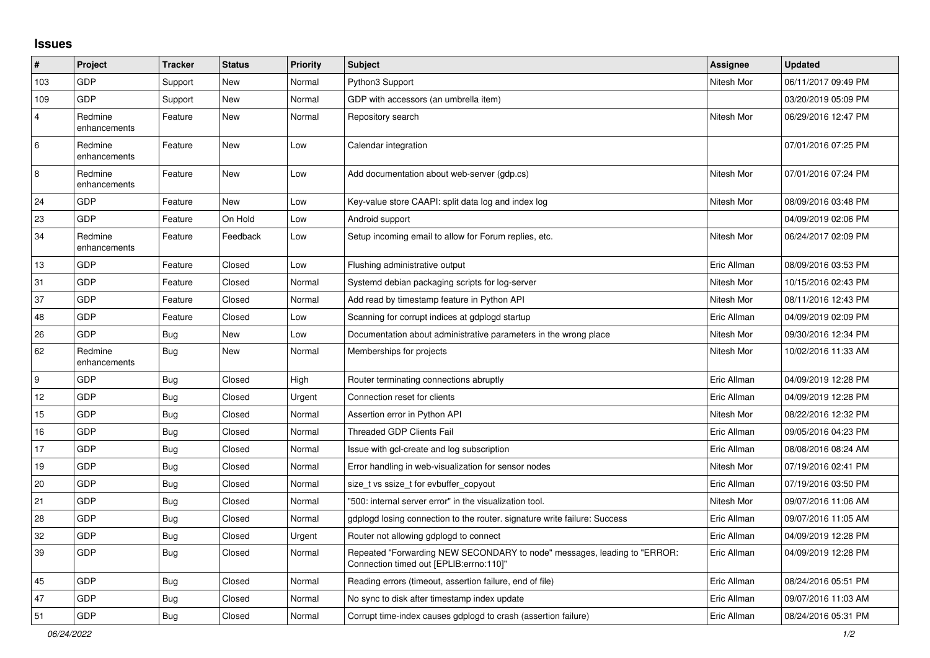## **Issues**

| $\pmb{\#}$              | Project                 | <b>Tracker</b> | <b>Status</b> | <b>Priority</b> | <b>Subject</b>                                                                                                      | <b>Assignee</b> | <b>Updated</b>      |
|-------------------------|-------------------------|----------------|---------------|-----------------|---------------------------------------------------------------------------------------------------------------------|-----------------|---------------------|
| 103                     | GDP                     | Support        | New           | Normal          | Python3 Support                                                                                                     | Nitesh Mor      | 06/11/2017 09:49 PM |
| 109                     | GDP                     | Support        | New           | Normal          | GDP with accessors (an umbrella item)                                                                               |                 | 03/20/2019 05:09 PM |
| $\overline{\mathbf{4}}$ | Redmine<br>enhancements | Feature        | <b>New</b>    | Normal          | Repository search                                                                                                   | Nitesh Mor      | 06/29/2016 12:47 PM |
| 6                       | Redmine<br>enhancements | Feature        | New           | Low             | Calendar integration                                                                                                |                 | 07/01/2016 07:25 PM |
| 8                       | Redmine<br>enhancements | Feature        | New           | Low             | Add documentation about web-server (gdp.cs)                                                                         | Nitesh Mor      | 07/01/2016 07:24 PM |
| 24                      | GDP                     | Feature        | New           | Low             | Key-value store CAAPI: split data log and index log                                                                 | Nitesh Mor      | 08/09/2016 03:48 PM |
| 23                      | GDP                     | Feature        | On Hold       | Low             | Android support                                                                                                     |                 | 04/09/2019 02:06 PM |
| 34                      | Redmine<br>enhancements | Feature        | Feedback      | Low             | Setup incoming email to allow for Forum replies, etc.                                                               | Nitesh Mor      | 06/24/2017 02:09 PM |
| 13                      | GDP                     | Feature        | Closed        | Low             | Flushing administrative output                                                                                      | Eric Allman     | 08/09/2016 03:53 PM |
| 31                      | <b>GDP</b>              | Feature        | Closed        | Normal          | Systemd debian packaging scripts for log-server                                                                     | Nitesh Mor      | 10/15/2016 02:43 PM |
| 37                      | GDP                     | Feature        | Closed        | Normal          | Add read by timestamp feature in Python API                                                                         | Nitesh Mor      | 08/11/2016 12:43 PM |
| 48                      | GDP                     | Feature        | Closed        | Low             | Scanning for corrupt indices at gdplogd startup                                                                     | Eric Allman     | 04/09/2019 02:09 PM |
| 26                      | GDP                     | <b>Bug</b>     | New           | Low             | Documentation about administrative parameters in the wrong place                                                    | Nitesh Mor      | 09/30/2016 12:34 PM |
| 62                      | Redmine<br>enhancements | Bug            | <b>New</b>    | Normal          | Memberships for projects                                                                                            | Nitesh Mor      | 10/02/2016 11:33 AM |
| 9                       | GDP                     | <b>Bug</b>     | Closed        | High            | Router terminating connections abruptly                                                                             | Eric Allman     | 04/09/2019 12:28 PM |
| 12                      | GDP                     | Bug            | Closed        | Urgent          | Connection reset for clients                                                                                        | Eric Allman     | 04/09/2019 12:28 PM |
| 15                      | GDP                     | <b>Bug</b>     | Closed        | Normal          | Assertion error in Python API                                                                                       | Nitesh Mor      | 08/22/2016 12:32 PM |
| 16                      | GDP                     | Bug            | Closed        | Normal          | <b>Threaded GDP Clients Fail</b>                                                                                    | Eric Allman     | 09/05/2016 04:23 PM |
| 17                      | GDP                     | <b>Bug</b>     | Closed        | Normal          | Issue with gcl-create and log subscription                                                                          | Eric Allman     | 08/08/2016 08:24 AM |
| 19                      | GDP                     | <b>Bug</b>     | Closed        | Normal          | Error handling in web-visualization for sensor nodes                                                                | Nitesh Mor      | 07/19/2016 02:41 PM |
| 20                      | GDP                     | <b>Bug</b>     | Closed        | Normal          | size t vs ssize t for evbuffer copyout                                                                              | Eric Allman     | 07/19/2016 03:50 PM |
| 21                      | GDP                     | <b>Bug</b>     | Closed        | Normal          | '500: internal server error" in the visualization tool.                                                             | Nitesh Mor      | 09/07/2016 11:06 AM |
| 28                      | GDP                     | Bug            | Closed        | Normal          | gdplogd losing connection to the router, signature write failure: Success                                           | Eric Allman     | 09/07/2016 11:05 AM |
| 32                      | GDP                     | <b>Bug</b>     | Closed        | Urgent          | Router not allowing gdplogd to connect                                                                              | Eric Allman     | 04/09/2019 12:28 PM |
| 39                      | GDP                     | Bug            | Closed        | Normal          | Repeated "Forwarding NEW SECONDARY to node" messages, leading to "ERROR:<br>Connection timed out [EPLIB:errno:110]" | Eric Allman     | 04/09/2019 12:28 PM |
| 45                      | GDP                     | Bug            | Closed        | Normal          | Reading errors (timeout, assertion failure, end of file)                                                            | Eric Allman     | 08/24/2016 05:51 PM |
| 47                      | GDP                     | Bug            | Closed        | Normal          | No sync to disk after timestamp index update                                                                        | Eric Allman     | 09/07/2016 11:03 AM |
| 51                      | GDP                     | Bug            | Closed        | Normal          | Corrupt time-index causes gdplogd to crash (assertion failure)                                                      | Eric Allman     | 08/24/2016 05:31 PM |